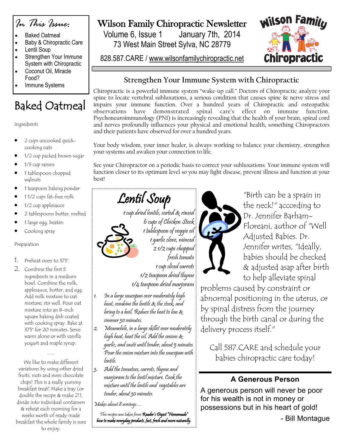

- Baked Oatmeal • Baby & Chiropractic Care
- Lentil Soup
- Strengthen Your Immune System with Chiropractic
- Coconut Oil, Miracle Food?
- Immune Systems

# Baked Oatmeal

#### Ingredients

- 2 cups uncooked quickcooking oats
- 1/2 cup packed brown sugar
- 1/3 cup raisins
- 1 tablespoon chopped walnuts
- 1 teaspoon baking powder
- 1 1/2 cups fat-free milk
- 1/2 cup applesauce
- 2 tablespoons butter, melted
- 1 large egg, beaten
- Cooking spray

#### Preparation

- 1. Preheat oven to 375°.
- 2. Combine the first 5 ingredients in a medium bowl. Combine the milk, applesauce, butter, and egg. Add milk mixture to oat mixture; stir well. Pour oat mixture into an 8-inch square baking dish coated with cooking spray. Bake at 375° for 20 minutes. Serve warm alone or with vanilla yogurt and maple syrup.

We like to make different variations by using other dried fruits, nuts and even chocolate chips! This is a really yummy breakfast treat! Make a tray (or double the recipe & make 2!), divide into individual containers & reheat each morning for a weeks worth of ready made breakfast the whole family is sure to enjoy.

…..

### Wilson Family Chiropractic Newsletter

Volume 6, Issue 1 January 7th, 2014 73 West Main Street Sylva, NC 28779

828.587.CARE / www.wilsonfamilychiropractic.net



#### **Strengthen Your Immune System with Chiropractic**

Chiropractic is a powerful immune system "wake-up call." Doctors of Chiropractic analyze your spine to locate vertebral subluxations, a serious condition that causes spine & nerve stress and impairs your immune function. Over a hundred years of Chiropractic and osteopathic observations have demonstrated spinal care's effect on immune function. Psychoneuroimmunology (PNI) is increasingly revealing that the health of your brain, spinal cord and nerves profoundly influences your physical and emotional health, something Chiropractors and their patients have observed for over a hundred years.

Your body wisdom, your inner healer, is always working to balance your chemistry, strengthen your systems and awaken your connection to life.

See your Chiropractor on a periodic basis to correct your subluxations. Your immune system will function closer to its optimum level so you may fight disease, prevent illness and function at your best!

# Lentil Soup

1 cup dried lentils, sorted & rinsed 6 cups of Chicken Stock 1 tablespoon of veggie oil 1 garlic clove, minced 2 1/2 cups chopped fresh tomato 1 cup sliced carrots

1/2 teaspoon dried thyme 1/4 teaspoon dried marjoram

- 1. In a large saucepan over moderately high heat, combine the lentils & the stock, and bring to a boil. Reduce the heat to low & simmer 30 minutes.
- 2. Meanwhile, in a large skillet over moderately high heat, heat the oil. Add the onions  $\mathcal X$ garlic, and sauté until tender, about 5 minutes. Pour the onion mixture into the saucepan with lentils.
- $\mathbb{R}_3$ . Add the tomatoes, carrots, thyme and marjoram to the lentil mixture. Cook the mixture until the lentils and vegetables are tender, about 30 minutes.

Makes about 8 servings…

This recipes was taken from Reader's Digest "Homemade" how to make everyday products, fast, fresh and more naturally.



"Birth can be a sprain in the neck!" according to Dr. Jennifer Barham-Floreani, author of "Well Adjusted Babies. Dr. Jennifer writes, "Ideally, babies should be checked & adjusted asap after birth to help alleviate spinal

problems caused by constraint or abnormal positioning in the uterus, or by spinal distress from the journey through the birth canal or during the delivery process itself."

Call 587.CARE and schedule your babies chiropractic care today!

### **A Generous Person**

A generous person will never be poor for his wealth is not in money or possessions but in his heart of gold!

- Bill Montague